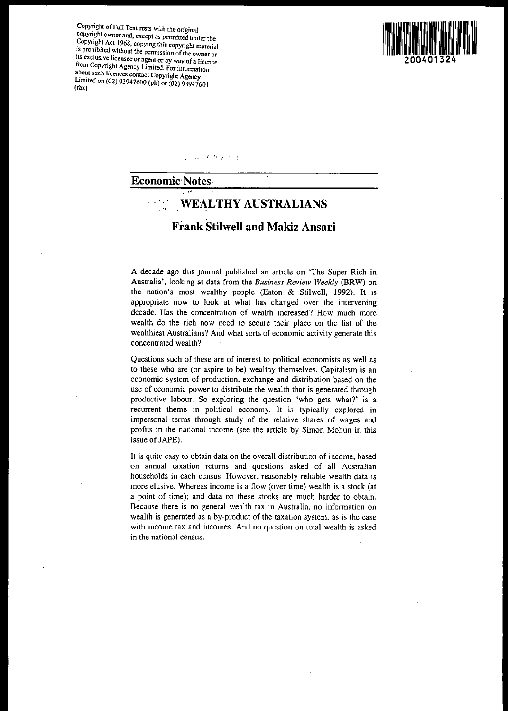Copyright of Full Text rests with the original copyright owner and, except as permitted under the copyright Act 1968, copying this copyright material is prohibited without the permission of the owner or Its exclusive licensee or agent or by way of a licence from Copynght Agency Limited. For infonnation about such licences contact Copyright Agency Linned on (02) 93947600 (ph) or (02) 93947601<br>(fax)



'., '..',...

### Economic'Notes·

 $\overline{\mathbf{v}}$  ,  $\overline{\mathbf{v}}$ 

## l' ' WEALTHY AUSTRALIANS

## Frank Stilwell and Makiz Ansari

A decade ago this journal published an article on 'The Super Rich in Australia', looking at data from the *Business Review Weekly* (BRW) on the nation's most wealthy people (Eaton & Stilwell, 1992). It is appropriate now to look at what has changed over the intervening decade. Has the concentration of wealth increased? How much more wealth do the rich now need to secure their place on the list of the wealthiest Australians? And what sorts of economic activity generate this concentrated wealth?

Questions such of these are of interest to political economists as well as to these who are (or aspire to be) wealthy themselves. Capitalism is an economic system of production, exchange and distribution based on the use of economic power to distribute the wealth that is generated through productive labour. So exploring the question 'who gets what?' is a recurrent theme in political economy. It is typically explored in impersonal terms through study of the relative shares of wages and profits in the national income (see the article by Simon Mohun in this issue of JAPE).

It is quite easy to obtain data on the overall distribution of income, based on annual taxation returns and questions asked of all Australian households in each census, However, reasonably reliable wealth data is more elusive. Whereas income is a flow (over time) wealth is a stock (at a point of time); and data on these stocks are much harder to obtain. Because there is no general wealth tax in Australia, no information on wealth is generated as a by-product of the taxation system, as is the case with income tax and incomes. And no question on total wealth is asked in the national census.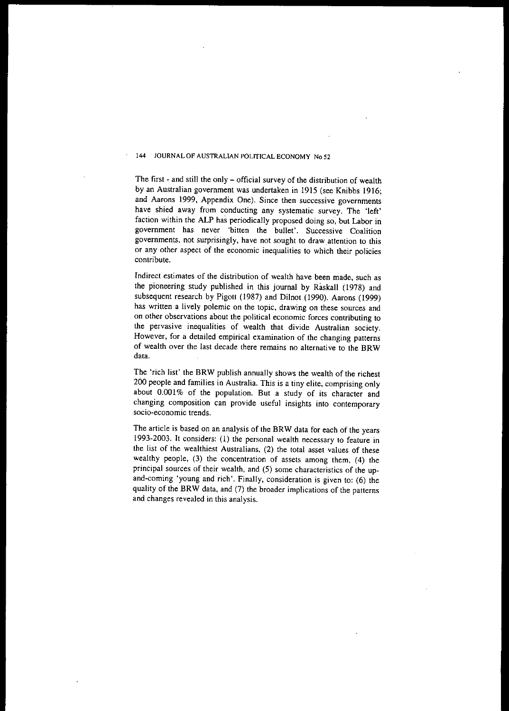The first - and still the only - official survey of the distribution of wealth by an Australian government was undertaken in 1915 (see Knibbs 1916; and Aarons 1999, Appendix One). Since then successive governments have shied away from conducting any systematic survey. The 'left' faction within the ALP has periodically proposed doing so, but Labor in **government has never 'bitten the bullet'. Successive Coalition** governments, not surprisingly, have not sought to drawattention to this or any other aspect of the economic inequalities to which their policies **contribute.**

**Indirect estimates of the distribution of wealth have been made, such as** the pioneering study published in this journal by Raskall (1978) and subsequent research by Pigott (1987) and Dilnot (1990). Aarons (1999) **has written a lively polemic on the topic, drawing on these sources and**  $\alpha$  **on** other observations about the political economic forces contributing to the pervasive inequalities of wealth that divide Australian society. **However, for a detailed empirical examination of the changing patterns** of wealth over the last decade there remains no alternative to the BRW data.

The 'rich list' the BRW publish annually shows the wealth of the richest 200 people and families in Australia. This is a tiny elite, comprising only about 0.001% of the population. But a study of its character and changing composition can provide useful insights into contemporary **soda-economic trends.**

The article is based on an analysis of the BRW data for each of the years 1993-2003. It considers: (I) the personal wealth necessary to feature in the list of the wealthiest Australians, (2) the total asset values of these wealthy people, (3) the concentration of assets among them, (4) the principal sources of their wealth, and (5) some characteristics of the upand-coming 'young and rich'. Finally, consideration is given to: (6) the quality of the BRW data, and (7) the broader implications of the patterns and changes revealed in this analysis.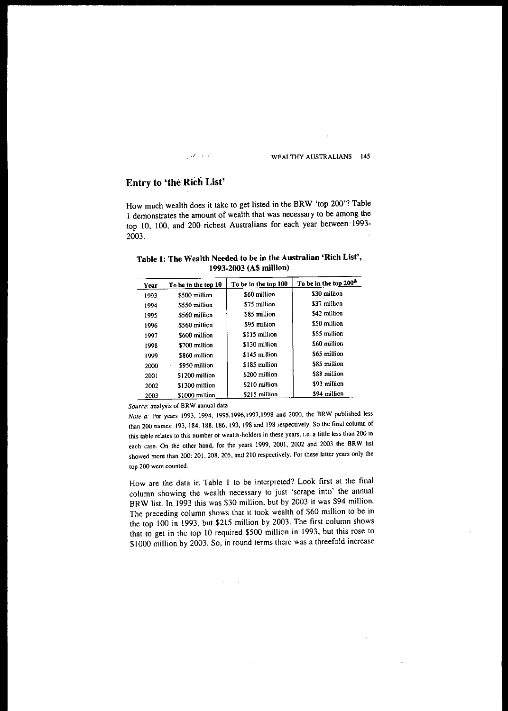### $\mathcal{A} \rightarrow \mathcal{I}$

#### WEALTHY AUSTRALIANS 145

## Entry to 'the Rich List'

How much wealth does it take to get listed in the BRW 'top 200'? Table 1 demonslrates the amount of wealth that was necessary to be among the top 10, lOO, and 200 richest Australians for each year between' 1993- 2003.

### Table 1: The Wealth Needed to be in the Australian 'Rich List', 1993·2003 (AS million)

| Year | To be in the top 10 | To be in the top 100 | To be in the top 200 <sup>2</sup> |
|------|---------------------|----------------------|-----------------------------------|
| 1993 | \$500 million       | \$60 million         | \$30 million                      |
| 1994 | \$550 million       | \$75 million         | \$37 million                      |
| 1995 | \$560 million       | \$85 million         | \$42 million                      |
| 1996 | \$560 million       | \$95 million         | \$50 million                      |
| 1997 | \$600 million       | \$115 million        | \$55 million                      |
| 1998 | \$700 million       | \$130 million        | \$60 million                      |
| 1999 | \$860 million       | \$145 million        | \$65 million                      |
| 2000 | \$950 million       | \$185 million        | \$85 million                      |
| 2001 | \$1200 million      | \$200 million        | \$88 million                      |
| 2002 | \$1300 million      | \$210 million        | \$93 million                      |
| 2003 | \$1000 million      | \$215 million        | $$94$ million                     |

*Sourre:* analysis of BRW annual data

*Note a:* For years 1993, 1994, 1995,1996,1997,1998 and 2000, the BRW published less than 200 names: 193, 184, 188, 186, 193. 198 and 198 respectively. So the final column of this table relates to this number of wealth-holders in these years, i.e. a little less than 200 in each case. On the other hand, for the years 1999, 2001, 2002 and 2003 the BRW list showed more than 200: 201, 208, 205, and 2lO respectively. For these latter years only the top 200 were counted.

How are the data in Table I to be interpreted? Look first at the final column showing the wealth necessary to just 'scrape into' the annual BRW list. In 1993 this was \$30 million, but by 2003 it was \$94 million. The preceding column shows that it took wealth of \$60 million to be in the top 100 in 1993, but \$215 million by 2003. The first column shows that to get in the top 10 required \$500 million in 1993, but this rose to \$1000 million by 2003. So, in round terms there was a threefold increase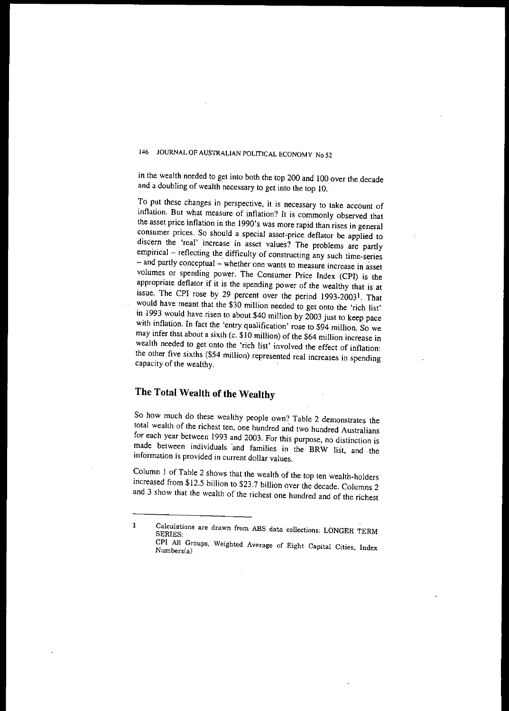in the wealth needed to get into both the top 200 and 100 over the .decade and a doubling of wealth necessary to get into the top 10.

To put these changes in perspective, it is necessary to take account of **inflation. But what measure of inflation? It is commonly observed that** the asset price inflation in the 1990's was more rapid than rises in general consumer prices. So should a special asset-price deflator be applied to discern the 'real' increase in asset values? The problems are partly empirical - reflecting the difficulty of constructing any such time-series - and partly conceptual - whether one wants to measure increase in asset volumes or spending power. The Consumer Price Index (CPI) is the appropriate deflator if it is the spending power of the wealthy that is at issue. The CPI rose by 29 percent over the period 1993-2003'. That would have meant that the \$30 million needed to get onto the 'rich list' in 1993 would have risen to about \$40 million by 2003 just to keep pace with inflation. In fact the 'entry qualification' rose to \$94 million. So we may infer that about a sixth (c. \$10 million) of the \$64 million increase in wealth needed to get onto the 'rich list' involved the effect of inflation: the other five sixths (\$54 million) represented real increases in spending capacity of the wealthy.

# **The Total Wealth of the Wealthy**

So how much do these wealthy people own? Table 2 demonstrates the total wealth of the richest ten, one hundred and two hundred Australians for each year between 1993 and 2003. For this purpose, no distinction is made between individuals and families in the BRW list, and the **information is provided in current dollar values.**

COlumn I of Table 2 shows that the wealth of the top ten wealth-holders increased from \$12.5 billion to \$23.7 billion over the decade. Columns 2 and 3 show that the wealth of the richest one hundred and of the richest

**<sup>1</sup> Calculations are drawn from ABS data collections: LONGER TERM** SERIES,

**CPI All Groups, Weighted Average of Eight Capital Cities, Index Numbers(a)**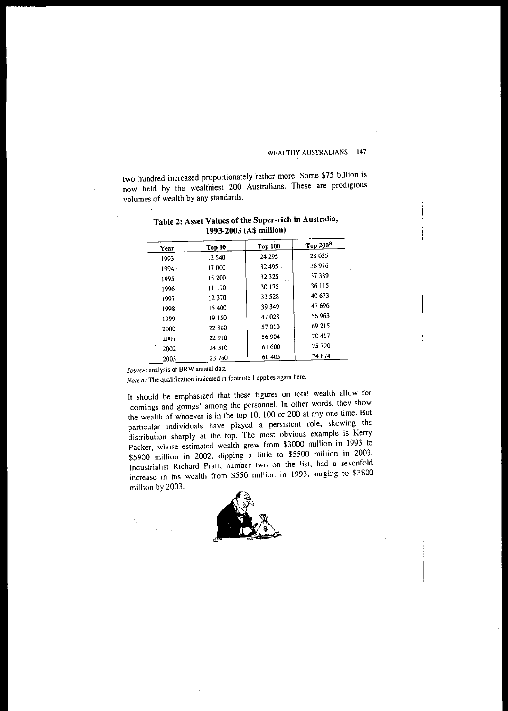two hundred increased proportionately rather more. Some \$75 billion is now held by the wealthiest 200 Australians. These are prodigious volumes of wealth by any standards.

| Year     | Top 10  | <b>Top 100</b> | Top 200 <sup>a</sup> |
|----------|---------|----------------|----------------------|
| 1993     | 12540   | 24 295         | 28 025               |
| $1994 -$ | 17000   | 32 495         | 36 976               |
| 1995     | 15 200  | 32 3 25        | 37 389               |
| 1996     | 11 170  | 30 175         | 36 115               |
| 1997     | 12370   | 33 5 28        | 40 673               |
| 1998     | 15400   | 39 349         | 47 696               |
| 1999     | 19150   | 47028          | 56 963               |
| 2000     | 22.8GO  | 57010          | 69 215               |
| 2001     | 22910   | 56 904         | 70 417               |
| 2002     | 24 3 10 | 61 600         | 75 790               |
|          |         | 60405          | 74874                |
| 2003     | 23760   |                |                      |

Table 2: Asset Values of the Super-rich in Australia, 1993-2003 (A\$ million)

Source: analysis of BRW annual data

Note a: The qualification indicated in footnote 1 applies again here.

It should be emphasized that these figures on total wealth allow for 'comings and goings' among the personnel. In other words, they show the wealth of whoever is in the top 10, 100 or 200 at anyone time. But particular individuals have played a persistent role, skewing the distribution sharply at the top. The most obvious example is Kerry Packer, whose estimated wealth grew from \$3000 million in 1993 to \$5900 million in 2002, dipping a little to \$5500 million in 2003. Industrialist Richard Pratt, number two on the list, had a sevenfold increase in his wealth from \$550 million in 1993, surging to \$3800 million by 2003.

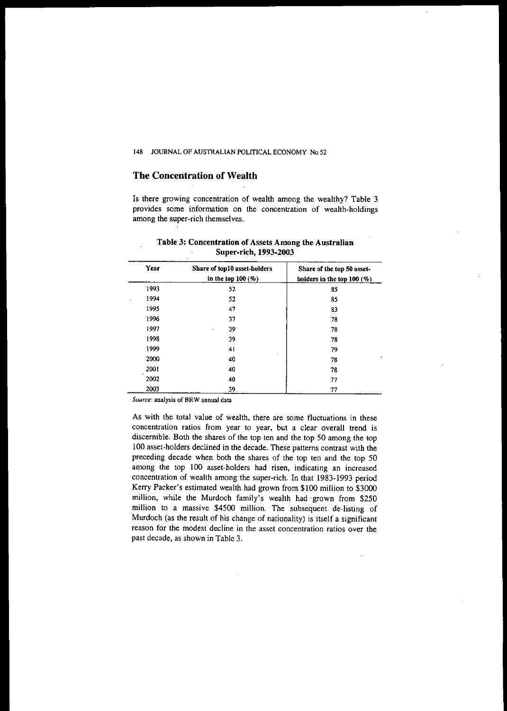### The Concentration of Wealth

Is there growing concentration of wealth among the wealthy? Table 3 provides some information on the concentration of wealth-holdings among the super-rich themselves.

| Year | Share of top10 asset-holders<br>in the top $100(%)$ | Share of the top 50 asset-<br>holders in the top $100$ (%) |
|------|-----------------------------------------------------|------------------------------------------------------------|
| 1993 | 52                                                  | 85                                                         |
| 1994 | 52                                                  | 85                                                         |
| 1995 | 47                                                  | 83                                                         |
| 1996 | 37                                                  | 78                                                         |
| 1997 | 39<br>$\epsilon$                                    | 78                                                         |
| 1998 | 39                                                  | 78                                                         |
| 1999 | 41                                                  | 79                                                         |
| 2000 | 40                                                  | 78                                                         |
| 2001 | 40                                                  | 78                                                         |
| 2002 | 40                                                  | 77                                                         |
| 2003 | 39.                                                 | 77                                                         |

### Table 3: Concentration of Assets Among the Australian Super-rich, 1993-2003

*Source:* analysis of BRW annual data

As with the total value of wealth, there are some fluctuations in these concentration ratios from year to year, but a clear overall trend is discernible. Both the shares of the top ten and the top 50 among the top 100 asset-holders declined in the decade. These patterns contrast with the preceding decade when both the shares of the top ten and the top 50 among the top 100 asset-holders had risen, indicating an increased concentration of wealth among the super-rich. In that 1983-1993 period Kerry Packer's estimated wealth had grown from \$100 million to \$3000 million, while the Murdoch family's wealth had· grown from \$250 million to a massive \$4500 million. The subsequent de-listing of Murdoch (as the result of his change of nationality) is itself a significant reason for the modest decline in the asset concentration ratios over the past decade, as shown in Table 3.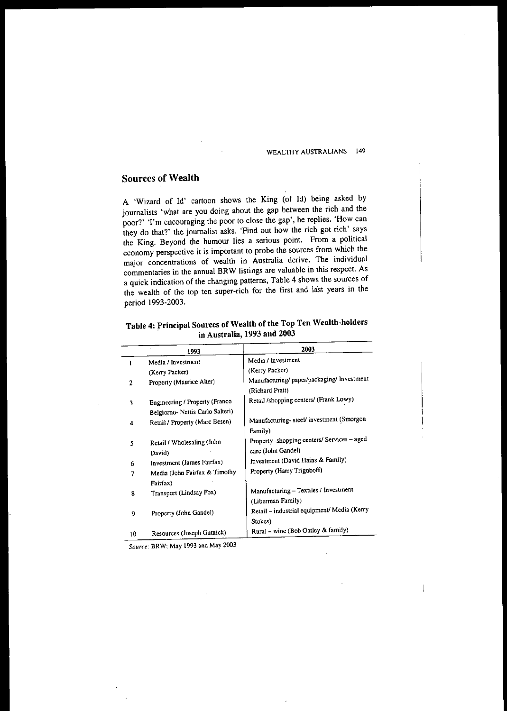### Sources of Wealth

A 'Wizard of Id' cartoon shows the King (of Id) being asked by journalists 'what are you doing about the gap between the rich and the poor?' 'I'm encouraging the poor to close the gap', he replies. 'How can they do that?' the journalist asks. 'Find out how the rich got rich' says the King. Beyond the humour lies a serious point. From a political economy perspective it is important to probe the sources from which the major concentrations of wealth in Australia derive. The individual commentaries in the annual BRW listings are valuable in this respect. As a quick indication of the changing patterns, Table 4 shows the sources of the wealth of the top ten super-rich for the first and last years in the period 1993-2003.

|    | 1993                             | 2003                                        |
|----|----------------------------------|---------------------------------------------|
| 1  | Media / Investment               | Media / Investment                          |
|    | (Kerry Packer)                   | (Kerry Packer)                              |
| 2  | Property (Maurice Alter)         | Manufacturing/ paper/packaging/ Investment  |
|    |                                  | (Richard Pratt)                             |
| 3  | Engineering / Property (Franco   | Retail /shopping centers/ (Frank Lowy)      |
|    | Belgiorno- Nettis Carlo Salteri) |                                             |
| 4  | Retail / Property (Marc Besen)   | Manufacturing-steel/investment (Smorgon     |
|    |                                  | Family)                                     |
| 5  | Retail / Wholesaling (John       | Property -shopping centers/ Services - aged |
|    | David)                           | care (John Gandel)                          |
| 6  | Investment (James Fairfax)       | Investment (David Hains & Family)           |
| 7  | Media (John Fairfax & Timothy    | Property (Harry Triguboff)                  |
|    | Fairfax)                         |                                             |
| 8  | Transport (Lindsay Fox)          | Manufacturing - Textiles / Investment       |
|    |                                  | (Liberman Family)                           |
| 9  | Property (John Gandel)           | Retail - industrial equipment/ Media (Kerry |
|    |                                  | Stokes)                                     |
| 10 | Resources (Joseph Gutnick)       | Rural - wine (Bob Oatley & family)          |

Table 4: Principal Sources of Wealth of the Top Ten Wealth-holders in Australia, 1993 and 2003

*Source:* BRW; May 1993 and May 2003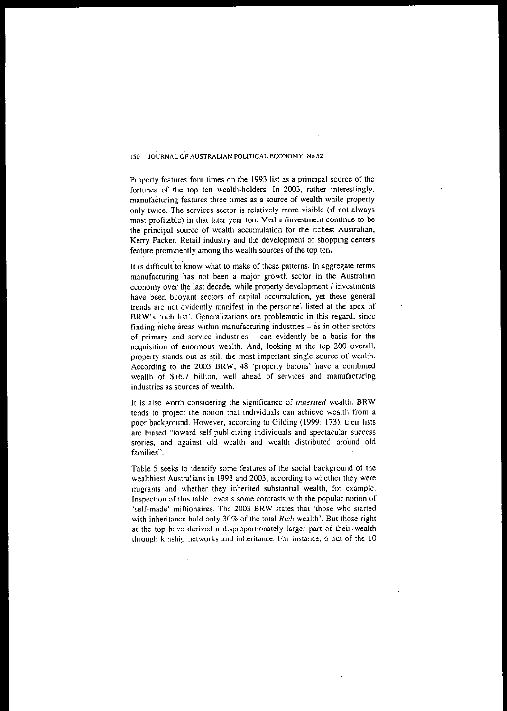Property features four times on the 1993 list as a principal source of the fortunes of the top ten wealth-holders. In 2003, rather interestingly, manufacturing features three times as a source of wealth while property only twice. The services sector is relatively more visible (if not always **most profitable) in that later year too. Media linvestment continue to be the principal source of wealth accumulation for the richest Australian,** Kerry Packer. Retail industry and the development of shopping centers feature prominently among the wealth sources of the top ten.

It is difficult to know what to make of these patterns. In aggregate terms manufacturing has not been a major growth sector in the Australian economy over the last decade, while property development / investments **have been buoyant sectors of capital accumulation, yet these general** trends are not evidently manifest in the personnel listed at the apex of **BRW's** 'rich list'. Generalizations are problematic in this regard, since **finding** niche areas within manufacturing industries – as in other sectors **of primary and service in'dustries - can evidently be a basis for the** acquisition of enormous wealth. And, looking at the top 200 overall, **property stands out as s.till the most important single source of wealth.** According to the 2003 BRW, 48 'property barons' have a combined wealth of \$16.7 billion, well ahead of services and manufacturing **industries as sources of wealth.**

It is also worth considering the significance of *inherited* wealth. BRW **tends to project the notion that individuals can achieve wealth from a** poor background. However, according to Gilding (1999: 173), their lists **are biased "toward self-publicizing individuals and spectacular success** stories, and against old wealth and wealth distributed around old **families",**

Table 5 seeks to identify some features of the social background of the wealthiest Australians in 1993 and 2003, according to whether they were migrants and whether they inherited substantial wealth, for example. Inspection of this table reveals some contrasts with the popular notion of 'self-made' millionaires. The 2003 BRW states that 'those who started with inheritance hold only 30% of the total *Rich* wealth'. But those right at the top have derived a disproportionately larger part of their. wealth through kinship networks and inheritance. For instance, 6 out of the 10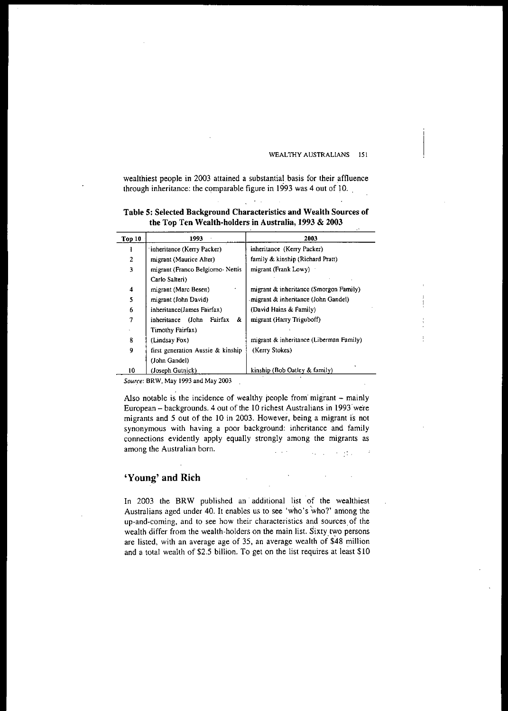wealthiest people in 2003 attained a substantial basis for their affluence through inheritance: the comparable figure in 1993 was 4 out of 10.

 $\sim 10^{11}$ 

Table 5: Selected Background Characteristics and Wealth Sources of the Top Ten Wealth-holders in Australia, 1993 & 2003

| Top 10 | 1993                                  | 2003                                    |
|--------|---------------------------------------|-----------------------------------------|
|        | inheritance (Kerry Packer)            | inheritance (Kerry Packer)              |
| 2      | migrant (Maurice Alter)               | family & kinship (Richard Pratt)        |
| 3      | migrant (Franco Belgiorno-Nettis      | migrant (Frank Lowy)                    |
|        | Carlo Salteri)                        |                                         |
| 4      | migrant (Marc Besen)                  | migrant & inheritance (Smorgon Family)  |
| 5      | migrant (John David)                  | migrant & inheritance (John Gandel)     |
| 6      | inheritance(James Fairfax)            | (David Hains & Family)                  |
| 7      | Fairfax<br>&.<br>inheritance<br>(John | migrant (Harry Triguboff)               |
|        | Timothy Fairfax)                      |                                         |
| 8      | (Lindsay Fox)                         | migrant & inheritance (Liberman Family) |
| 9      | first generation Aussie & kinship     | (Kerry Stokes)                          |
|        | (John Gandel)                         |                                         |
| 10     | (Joseph Gutnick)                      | kinship (Bob Oatley & family)           |

*Source:* BRW, May 1993 and May 2003

Also notable is the incidence of wealthy people from migrant - mainly European - backgrounds. 4 out of the 10 richest Australians in 1993·were migrants and 5 out of the 10 in 2003. However, being a migrant is not synonymous with having a poor background: inheritance and family connections evidently apply equally strongly among the migrants as among the Australian born. 医脑炎

### 'Young' and Rich

In 2003 the BRW published an additional list of the wealthiest Australians aged under 40. It enables us to see 'who's who?' among the up-and-coming, and to see how their characteristics and sources. of the wealth differ from the wealth-holders on the main list. Sixty two persons are listed, with an average age of 35, an average wealth of \$48 million and a total wealth of \$2.5 billion. To get on the list requires at least \$10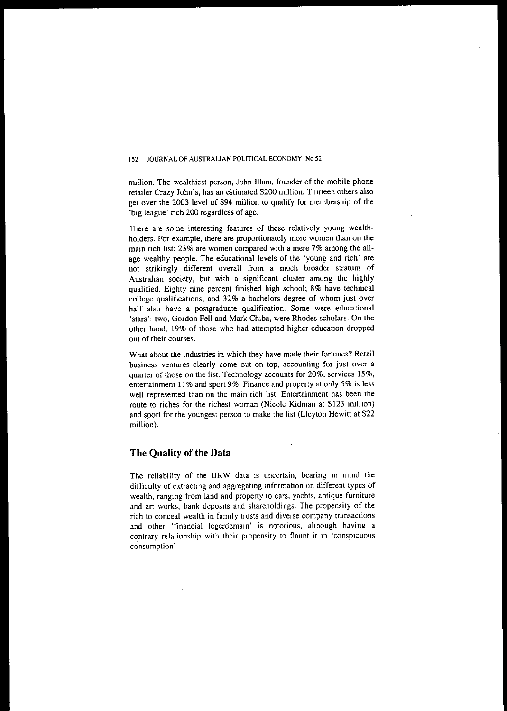million. The wealthiest person, John IIhan, founder of the mobile-phone retailer Crazy John's, has an estimated \$200 million. Thirteen others also get over the 2003 level of \$94 million to qualify for membership of the 'big league' rich 200 regardless of age.

There are some interesting features of these relatively young wealthholders. For example, there are proportionately more women than on the main rich list: 23% are women compared with a mere 7% among the allage wealthy people. The educational levels of the 'young and rich' are not strikingly different overall from a much broader stratum of Australian society, but with a significant cluster among the highly qualified. Eighty nine percent finished high school; 8% have technical college qualifications; and 32% a bachelors degree of whom just over **half also have a postgraduate qualification. Some were educational** 'stars': two, Gordon Fell and Mark Chiba, were Rhodes scholars. On the other hand, 19% of those who had attempted higher education dropped  $out$  of their courses.

What about the industries in which they have made their fortunes? Retail **business ventures clearly come out on top, accounting for just over a** quarter of those on the list. Technology accounts for 20%, services 15%, **entertainment 11%and sport 9%. Finance and property at only 5% is less** well represented than on the main rich list. Entertainment has been the route to riches for the richest woman (Nicole Kidman at \$123 million) and sport for the youngest person to make the list (Lleyton Hewitt at \$22 million).

### **The Quality of the Data**

The reliability of the BRW data is uncertain, bearing in mind the difficulty of extracting and aggregating information on different types of wealth. ranging from land and property to cars, yachts. antique furniture and art works. bank deposits and shareholdings. The propensity of the **rich to conceal wealth in family trusts and diverse company transactions and other 'financial legerdemain' is notorious, although having a** c~ntrary **relationship with their propensity to flaunt it in 'conspicuous consumption' .**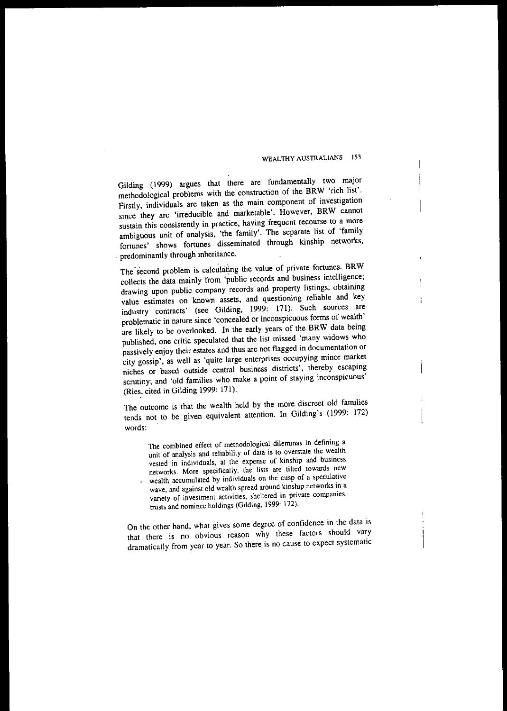Gilding (1999) argues that there are fundamentally two major methodological problems with the construction of the BRW 'rich list'. Firstly, individuals are taken as the. main component of investigation since they are 'irreducible and marketable'. However, BRW cannot **sustain this consistently in practice, having frequent recourse to a more** ambiguous unit of analysis, 'the family'. The separate list of 'family fortunes' shows fortunes disseminated through kinship networks, . predominantly through inheritance.

The second problem is calculating the value of private fortunes. BRW collects the data mainly from 'public records and business intelligence; drawing upon public company records and property listings, obtaining value estimates on known assets, and questioning reliable and key industry contracts' (see Gilding, 1999: 171). Such sources are problematic in nature since 'concealed or inconspicuous forms of wealth' are likely to be overlooked. **In** the early years of the BRW data being published, one critic speculated that the list missed 'many widows who **passively enjoy their estates and thus are not flagged in documentation or** city gossip', as well as 'quite large enterprises occupying minor market niches or based outside central business districts', thereby escaping scrutiny; and 'old families who make a point of staying inconspicuous' (Ries, cited in Gilding 1999: 171).

The outcome is that the wealth held by the more discreet old families tends not to be given equivalent attention. **In** Gilding's (1999: 172) **words:**

**The combined effect of methodological dilerrunas in defining a unit of analysis and reliability of data is to overstate the wealth vested in individuals. at the expense of kinship and business networks. More specifically, the lists oo:e tilted towards new wealth accumulated by individuals on the cusp of a speculative wave, and against old wealth spread around kinship networks in a variety of investment activities, sheltered in private companies, trusts and nominee holdings (Gilding. 1999: 172).**

On the other hand, what gives some degree of confidence in the data is that there is no obvious reason why these factors should vary dramatically from year to year. So there is no cause to expect systematic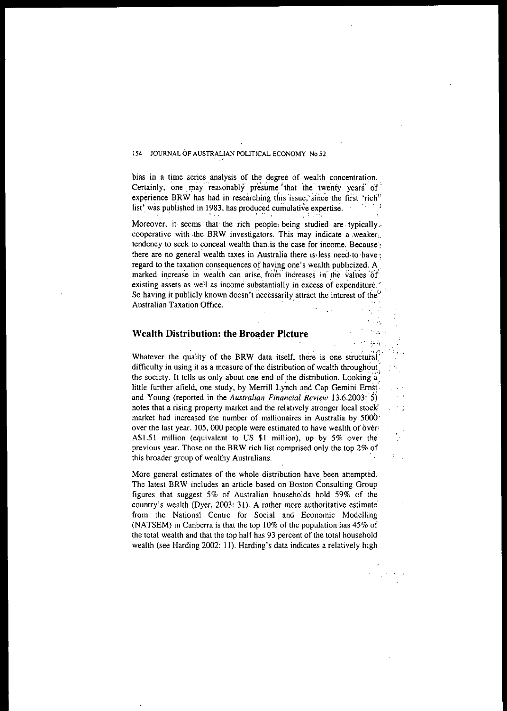bias in a time series analysis of the degree of wealth concentration. Certainly, one may reasonably presume that the twenty years of experience BRW has had in researching this issue, since the first 'rich<sup>"</sup><br>list, was published in 1983, has produced cumulative expertise. list' was published in 1983, has produced cumulative expertise.

Moreover, it seems that the rich people, being studied are typically. **cooperative** with the BRW investigators. This may indicate a weakerl. tendency to seek to conceal wealth than.is the case for income. Because. there are no general wealth taxes in Australia there is less need to have: regard to the taxation consequences of having one's wealth publicized. A **marked** increase in wealth can arise from increases in the values of existing assets as well as income substantially in excess of expenditure. So having it publicly known doesn't necessarily attract the interest of the **Australian Taxation Office.**

### **Wealth Distribution: the Broader Picture**

Whatever the quality of the BRW data itself, there is one structural difficulty in using it as a measure of the distribution of wealth throughout: the society. It tells us only about one end of the distribution. Looking a little further afield, one study, by Merrill Lynch and Cap Gemini Ernst · and Young (reported in the *Australian Financial Review* 13,6.2003: S) notes that a rising property market and the relatively stronger local stock: market had increased the number of millionaires in Australia by 5000· over the last year. 105, 000 people were estimated to have wealth of over? A\$1.51 million (equivalent to US \$1 million), up by  $5\%$  over the previous year. Those on the BRW rich list comprised only the top 2% or' this broader group of wealthy Australians,

More general estimates of the whole distribution have been attempted. The latest BRW includes an article based on Boston Consulting Group figures that suggest 5% of Australian households hold 59% of the country's wealth (Dyer, 2003: 31). A rather more authoritative estimate from the National Centre for Social and Economic Modelling (NATSEM) in Canberra is that the top 10% of the population has 45% of the total wealth and that the top half has 93 percent of the total household wealth (see Harding 2002: 11), Harding's data indicates a relatively high

 $\mathcal{L}$ 

::. :,

 $\sim$   $_{112}$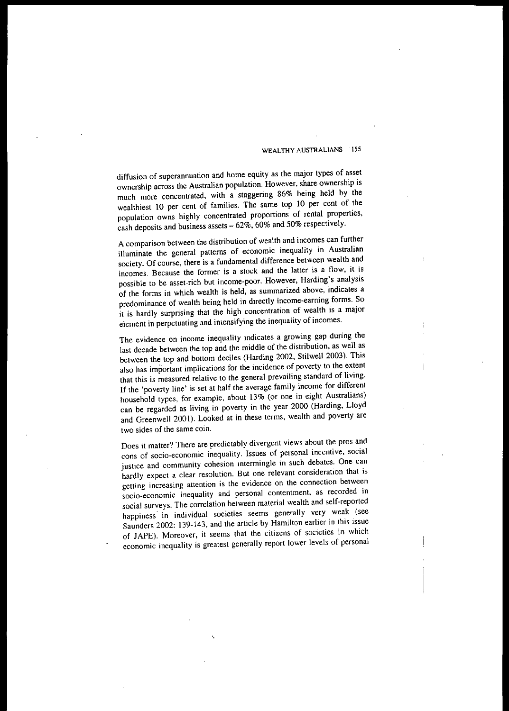diffusion of superannuation and home equity as the major types of asset **ownership across the Australian population. However, share ownership is** much more concentrated, with a staggering 86% being held by the wealthiest 10 per cent of families. The same top 10 per cent of the population owns highly concentrated proportions of rental properties, cash deposits and business assets  $-62\%$ , 60% and 50% respectively.

A comparison between the distribution of wealth and incomes can further illuminate the general patterns of economic inequality in Australian society. Of course, there is a fundamental difference between wealth and **incomes. Because the former is a stock and the latter is a flow, it is** possible to be asset-rich but income-poor. However, Harding's analysis of the forms in which wealth is held, as summarized above, indicates a predominance of wealth being held in directly income-earning forms. So it is hardly surprising that the high concentration of wealth is a major element in perpetuating and imensifying the inequality of incomes.

**The evidence on income inequality indicates a growing gap during the** last decade between the top and the middle of the distribution, as well as between the top and bottom deciles (Harding 2002, Stilwell 2003). This **also has important implications for the incidence of poverty to the extent that this is measured relative to the general prevailing standard of living.** If the 'poverty line' is set at half the average family income for different household types, for example, about 13% (or one in eight Australians) can be regarded as living in poverty in the year 2000 (Harding, L10yd and Greenwell 2001). Looked at in these terms, wealth and poverty are **two sides of the same coin.**

Does it matter? There are predictably divergent views about the pros and **cons of soda-economic inequality. Issues of personal incentive, social justice and community cohesion intermingle in such debates. One can hardly expect a clear resolution. But one relevant consideration that is getting increasing attention is the evidence on the connection between socio-economic inequality and personal contentment, as recorded in** social surveys. The correlation between material wealth and self-reported **happiness- in individual societies seems generally very weak (see** Saunders 2002: 139-143, and the article by Hamilton earlier in this issue of JAPE). Moreover, it seems that the citizens of societies in which **economic inequality is greatest generally report lower levels of personal**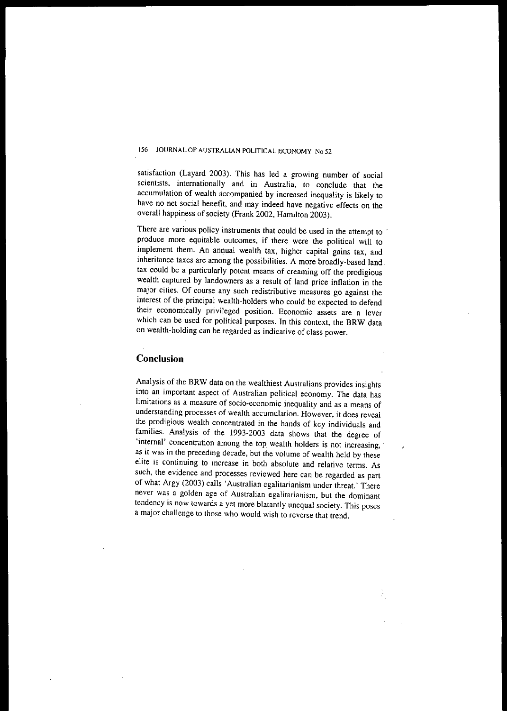satisfaction (Layard 2003). This has led a growing number of social **scientists, internationally and in Australia, to conclude that the accumulation of wealth accompanied by increased inequality is likely to** have no net social benefit, and may indeed have negative effects on the overall happiness of society (Frank 2002, Hamilton 2003).

There are various policy instruments that could be used in the attempt to **produce more equitable outcomes, if there were the political will to** implement them. An annual wealth tax, higher capital gains tax, and inheritance taxes are among the possibilities. A more broadly-based land. tax could be a particularly potent means of creaming off the prodigious wealth captured by landowners as a result of land price inflation in the **major cities. Of course any such redistributive measures go against the** interest of the principal wealth-holders who could be expected to defend **their economically privileged position. Economic assets are a lever** which can be used for political purposes. In this context, the BRW data on wealth-holding can be regarded as indicative of class power.

### **Conclusion**

Analysis of the BRW data on the wealthiest Australians provides insights into an important aspect of Australian political economy. The data has **limitations as a measure of soda-economic inequality and as a means of understanding processes of wealth accumulation. However, it does reveal** the prodigious wealth concentrated in the hands of key individuals and families. Analysis of the 1993-2003 data shows that the degree of 'internal' concentration among the top wealth holders is not increasing, as it was in the preceding decade, but the volume of wealth held by these elite is continuing to increase in both absolute and relative terms. As such, the evidence and processes reviewed here can be regarded as part of what Argy (2003) calls 'Australian egalitarianism under threat.' There **never was a golden age of Australian egalitarianism, but the dominant tendency is now towards a yet more blatantly unequal society. This poses** a major challenge to those who would wish to reverse that trend,